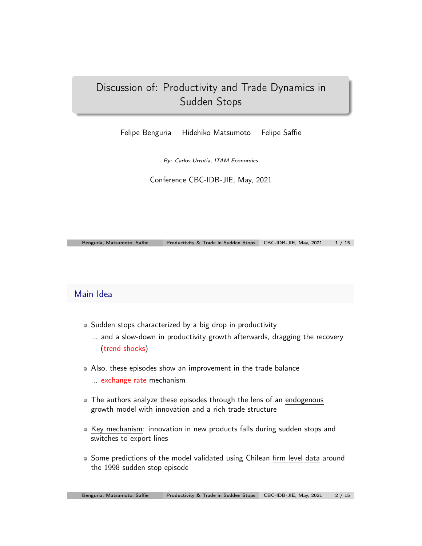# Discussion of: Productivity and Trade Dynamics in Sudden Stops

Felipe Benguria Hidehiko Matsumoto Felipe Saffie

*By: Carlos Urrutia, ITAM Economics*

Conference CBC-IDB-JIE, May, 2021

Benguria, Matsumoto, Saffie Productivity & Trade in Sudden Stops CBC-IDB-JIE, May, 2021 1 / 15

### Main Idea

- Sudden stops characterized by a big drop in productivity
	- ... and a slow-down in productivity growth afterwards, dragging the recovery (trend shocks)
- Also, these episodes show an improvement in the trade balance
	- ... exchange rate mechanism
- The authors analyze these episodes through the lens of an endogenous growth model with innovation and a rich trade structure
- Key mechanism: innovation in new products falls during sudden stops and switches to export lines
- Some predictions of the model validated using Chilean firm level data around the 1998 sudden stop episode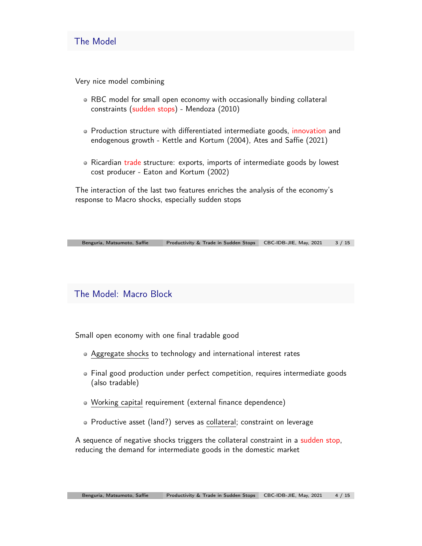### The Model

Very nice model combining

- RBC model for small open economy with occasionally binding collateral constraints (sudden stops) - Mendoza (2010)
- Production structure with differentiated intermediate goods, innovation and endogenous growth - Kettle and Kortum (2004), Ates and Saffie (2021)
- Ricardian trade structure: exports, imports of intermediate goods by lowest cost producer - Eaton and Kortum (2002)

The interaction of the last two features enriches the analysis of the economy's response to Macro shocks, especially sudden stops

| Benguria, Matsumoto, Saffie | Productivity & Trade in Sudden Stops CBC-IDB-JIE, May, 2021 3 / 15 |  |
|-----------------------------|--------------------------------------------------------------------|--|

## The Model: Macro Block

Small open economy with one final tradable good

- Aggregate shocks to technology and international interest rates
- Final good production under perfect competition, requires intermediate goods (also tradable)
- Working capital requirement (external finance dependence)
- Productive asset (land?) serves as collateral; constraint on leverage

A sequence of negative shocks triggers the collateral constraint in a sudden stop, reducing the demand for intermediate goods in the domestic market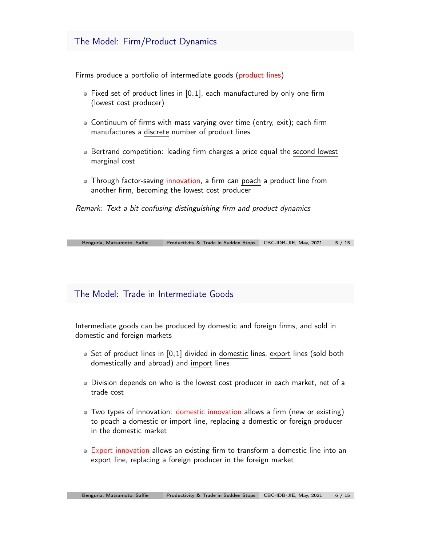### The Model: Firm/Product Dynamics

Firms produce a portfolio of intermediate goods (product lines)

- Fixed set of product lines in [0*,*1], each manufactured by only one firm (lowest cost producer)
- Continuum of firms with mass varying over time (entry, exit); each firm manufactures a discrete number of product lines
- Bertrand competition: leading firm charges a price equal the second lowest marginal cost
- Through factor-saving innovation, a firm can poach a product line from another firm, becoming the lowest cost producer

*Remark: Text a bit confusing distinguishing firm and product dynamics*

| Benguria, Matsumoto, Saffie | Productivity & Trade in Sudden Stops CBC-IDB-JIE, May, 2021 5 / 15 |  |  |
|-----------------------------|--------------------------------------------------------------------|--|--|
|-----------------------------|--------------------------------------------------------------------|--|--|

### The Model: Trade in Intermediate Goods

Intermediate goods can be produced by domestic and foreign firms, and sold in domestic and foreign markets

- Set of product lines in [0*,*1] divided in domestic lines, export lines (sold both domestically and abroad) and import lines
- Division depends on who is the lowest cost producer in each market, net of a trade cost
- Two types of innovation: domestic innovation allows a firm (new or existing) to poach a domestic or import line, replacing a domestic or foreign producer in the domestic market
- Export innovation allows an existing firm to transform a domestic line into an export line, replacing a foreign producer in the foreign market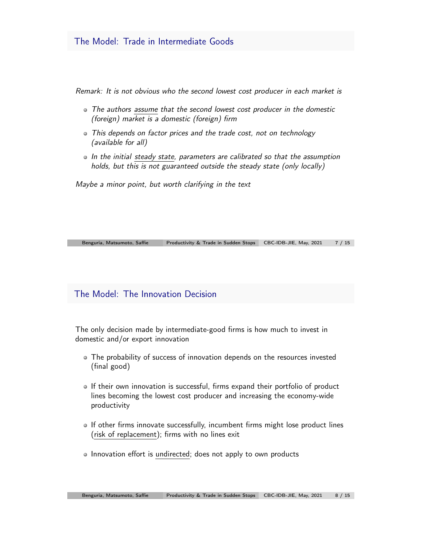*Remark: It is not obvious who the second lowest cost producer in each market is*

- *The authors assume that the second lowest cost producer in the domestic (foreign) market is a domestic (foreign) firm*
- *This depends on factor prices and the trade cost, not on technology (available for all)*
- *In the initial steady state, parameters are calibrated so that the assumption holds, but this is not guaranteed outside the steady state (only locally)*

*Maybe a minor point, but worth clarifying in the text*

Benguria, Matsumoto, Saffie Productivity & Trade in Sudden Stops CBC-IDB-JIE, May, 2021 7 / 15

### The Model: The Innovation Decision

The only decision made by intermediate-good firms is how much to invest in domestic and/or export innovation

- The probability of success of innovation depends on the resources invested (final good)
- If their own innovation is successful, firms expand their portfolio of product lines becoming the lowest cost producer and increasing the economy-wide productivity
- If other firms innovate successfully, incumbent firms might lose product lines (risk of replacement); firms with no lines exit
- Innovation effort is undirected; does not apply to own products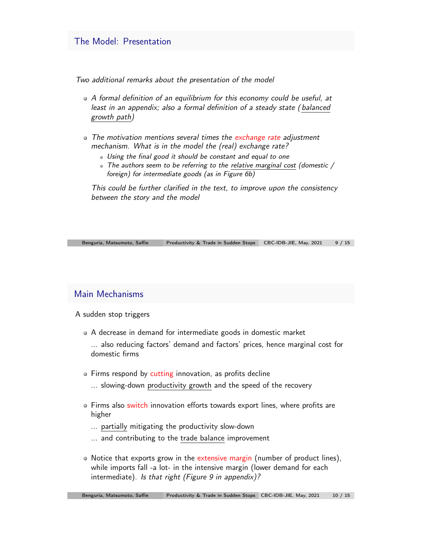#### The Model: Presentation

*Two additional remarks about the presentation of the model*

- *A formal definition of an equilibrium for this economy could be useful, at least in an appendix; also a formal definition of a steady state ( balanced growth path)*
- *The motivation mentions several times the exchange rate adjustment mechanism. What is in the model the (real) exchange rate?*
	- *Using the final good it should be constant and equal to one*
	- *The authors seem to be referring to the relative marginal cost (domestic / foreign) for intermediate goods (as in Figure 6b)*

*This could be further clarified in the text, to improve upon the consistency between the story and the model*

| Benguria, Matsumoto, Saffie | Productivity & Trade in Sudden Stops CBC-IDB-JIE, May, 2021 9 / 15 |  |
|-----------------------------|--------------------------------------------------------------------|--|

#### Main Mechanisms

A sudden stop triggers

- A decrease in demand for intermediate goods in domestic market
	- ... also reducing factors' demand and factors' prices, hence marginal cost for domestic firms
- Firms respond by cutting innovation, as profits decline ... slowing-down productivity growth and the speed of the recovery
- Firms also switch innovation efforts towards export lines, where profits are higher
	- ... partially mitigating the productivity slow-down
	- ... and contributing to the trade balance improvement
- Notice that exports grow in the extensive margin (number of product lines), while imports fall -a lot- in the intensive margin (lower demand for each intermediate). *Is that right (Figure 9 in appendix)?*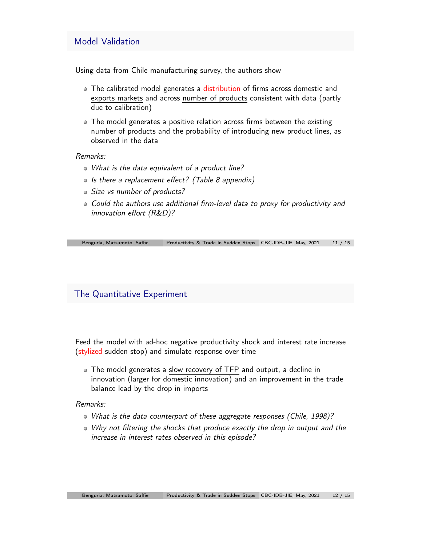#### Model Validation

Using data from Chile manufacturing survey, the authors show

- The calibrated model generates a distribution of firms across domestic and exports markets and across number of products consistent with data (partly due to calibration)
- The model generates a positive relation across firms between the existing number of products and the probability of introducing new product lines, as observed in the data

*Remarks:*

- *What is the data equivalent of a product line?*
- *Is there a replacement e*ff*ect? (Table 8 appendix)*
- *Size vs number of products?*
- *Could the authors use additional firm-level data to proxy for productivity and innovation e*ff*ort (R&D)?*

Benguria, Matsumoto, Saffie Productivity & Trade in Sudden Stops CBC-IDB-JIE, May, 2021 11 / 15

#### The Quantitative Experiment

Feed the model with ad-hoc negative productivity shock and interest rate increase (stylized sudden stop) and simulate response over time

The model generates a slow recovery of TFP and output, a decline in innovation (larger for domestic innovation) and an improvement in the trade balance lead by the drop in imports

#### *Remarks:*

- *What is the data counterpart of these aggregate responses (Chile, 1998)?*
- *Why not filtering the shocks that produce exactly the drop in output and the increase in interest rates observed in this episode?*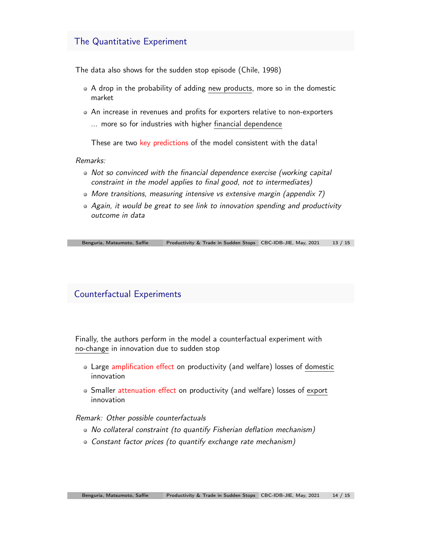#### The Quantitative Experiment

The data also shows for the sudden stop episode (Chile, 1998)

- A drop in the probability of adding new products, more so in the domestic market
- An increase in revenues and profits for exporters relative to non-exporters ... more so for industries with higher financial dependence

These are two key predictions of the model consistent with the data!

*Remarks:*

- *Not so convinced with the financial dependence exercise (working capital constraint in the model applies to final good, not to intermediates)*
- *More transitions, measuring intensive vs extensive margin (appendix 7)*
- *Again, it would be great to see link to innovation spending and productivity outcome in data*

Benguria, Matsumoto, Saffie Productivity & Trade in Sudden Stops CBC-IDB-JIE, May, 2021 13 / 15

## Counterfactual Experiments

Finally, the authors perform in the model a counterfactual experiment with no-change in innovation due to sudden stop

- Large amplification effect on productivity (and welfare) losses of domestic innovation
- Smaller attenuation effect on productivity (and welfare) losses of export innovation

#### *Remark: Other possible counterfactuals*

- *No collateral constraint (to quantify Fisherian deflation mechanism)*
- *Constant factor prices (to quantify exchange rate mechanism)*